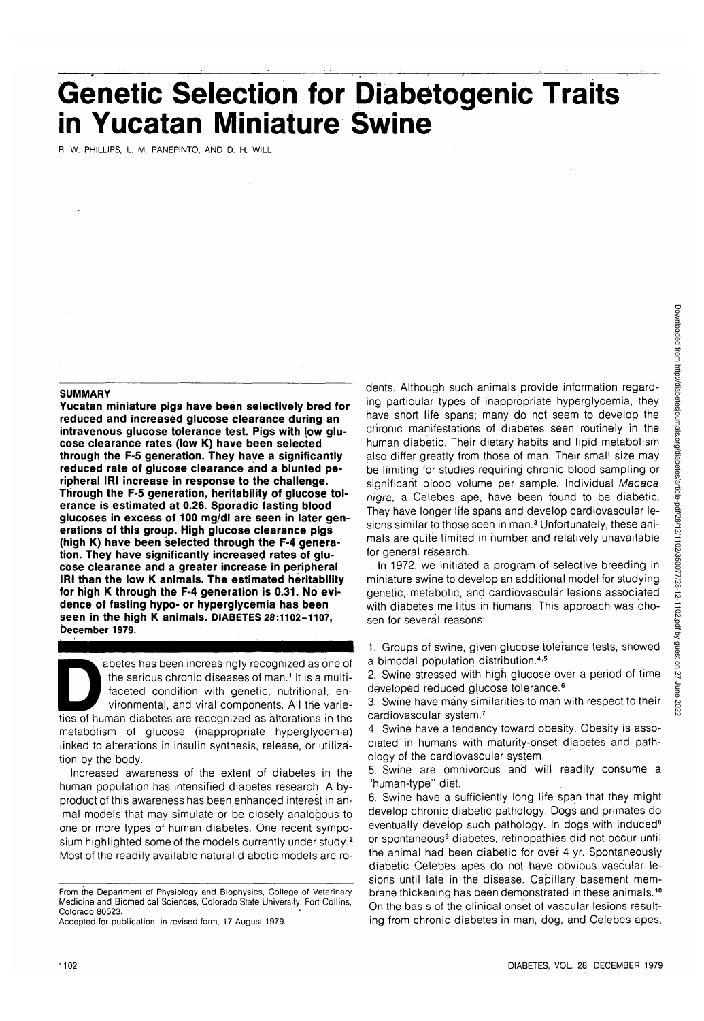# **Genetic Selection for Diabetogenic Traits in Yucatan Miniature Swine**

R. W. PHILLIPS, L. M. PANEPINTO, AND D. H. WILL

#### **SUMMARY**

**Yucatan miniature pigs have been selectively bred for reduced and increased glucose clearance during an intravenous glucose tolerance test. Pigs with low glucose clearance rates (low K) have been selected through the F-5 generation. They have a significantly reduced rate of glucose clearance and a blunted peripheral IRI increase in response to the challenge. Through the F-5 generation, heritability of glucose tolerance is estimated at 0.26. Sporadic fasting blood glucoses in excess of 100 mg/dl are seen in later generations of this group. High glucose clearance pigs (high K) have been selected through the F-4 generation. They have significantly increased rates of glucose clearance and a greater increase in peripheral IRI than the low K animals. The estimated heritability for high K through the F-4 generation is 0.31. No evidence of fasting hypo- or hyperglycemia has been seen in the high K animals. DIABETES 28:1102-1107, December 1979.**

increasingly recognized as one of<br>the serious chronic diseases of man.<sup>1</sup> It is a multi-<br>faceted condition with genetic, nutritional, en-<br>vironmental, and viral components. All the varie-<br>ties of human diabetes are recogni the serious chronic diseases of man.<sup>1</sup> It is a multifaceted condition with genetic, nutritional, environmental, and viral components. All the variemetabolism of glucose (inappropriate hyperglycemia) linked to alterations in insulin synthesis, release, or utilization by the body.

Increased awareness of the extent of diabetes in the human population has intensified diabetes research. A byproduct of this awareness has been enhanced interest in animal models that may simulate or be closely analogous to one or more types of human diabetes. One recent symposium highlighted some of the models currently under study.<sup>2</sup> Most of the readily available natural diabetic models are ro-

Accepted for publication, in revised form, 17 August 1979.

dents. Although such animals provide information regarding particular types of inappropriate hyperglycemia, they have short life spans; many do not seem to develop the chronic manifestations of diabetes seen routinely in the human diabetic. Their dietary habits and lipid metabolism also differ greatly from those of man. Their small size may be limiting for studies requiring chronic blood sampling or significant blood volume per sample. Individual Macaca nigra, a Celebes ape, have been found to be diabetic. They have longer life spans and develop cardiovascular lesions similar to those seen in man.<sup>3</sup> Unfortunately, these animals are quite limited in number and relatively unavailable for general research.

In 1972, we initiated a program of selective breeding in miniature swine to develop an additional model for studying genetic,-metabolic, and cardiovascular lesions associated with diabetes mellitus in humans. This approach was chosen for several reasons:

1. Groups of swine, given glucose tolerance tests, showed a bimodal population distribution.<sup>4,5</sup>

2. Swine stressed with high glucose over a period of time developed reduced glucose tolerance.<sup>6</sup>

3. Swine have many similarities to man with respect to their cardiovascular system.<sup>7</sup>

4. Swine have a tendency toward obesity. Obesity is associated in humans with maturity-onset diabetes and pathology of the cardiovascular system.

5. Swine are omnivorous and will readily consume a "human-type" diet.

6. Swine have a sufficiently long life span that they might develop chronic diabetic pathology. Dogs and primates do eventually develop such pathology. In dogs with induced<sup>8</sup> or spontaneous<sup>9</sup> diabetes, retinopathies did not occur until the animal had been diabetic for over 4 yr. Spontaneously diabetic Celebes apes do not have obvious vascular lesions until late in the disease. Capillary basement membrane thickening has been demonstrated in these animals.<sup>10</sup> On the basis of the clinical onset of vascular lesions resulting from chronic diabetes in man, dog, and Celebes apes,

From the Department of Physiology and Biophysics, College of Veterinary Medicine and Biomedical Sciences, Colorado State University, Fort Collins, Colorado 80523.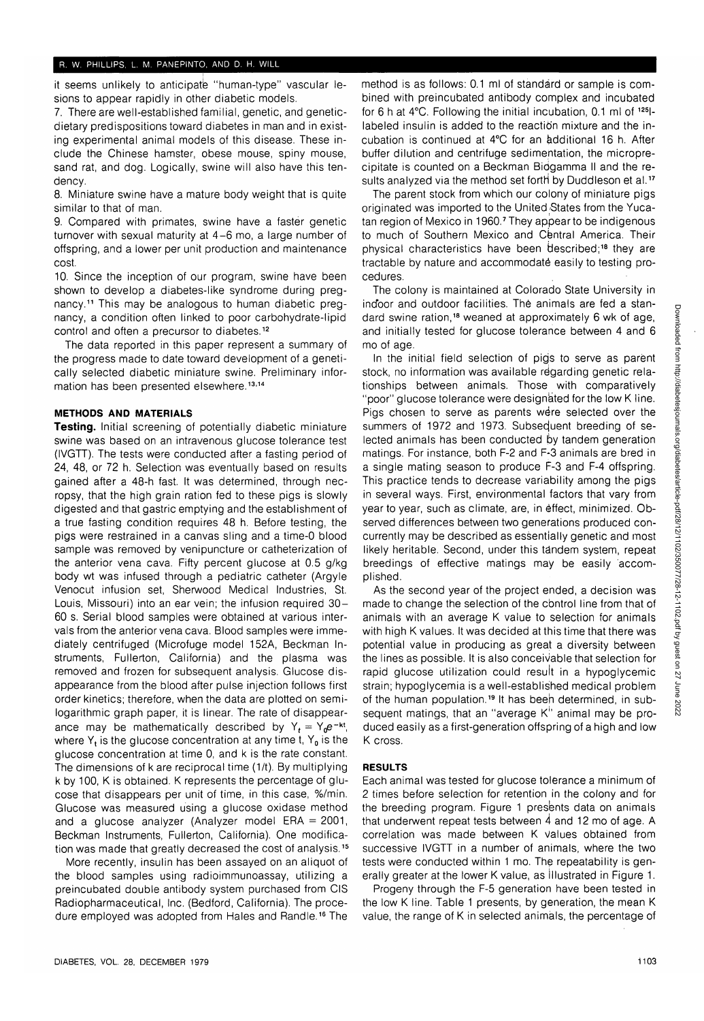it seems unlikely to anticipate "human-type" vascular lesions to appear rapidly in other diabetic models.

7. There are well-established familial, genetic, and geneticdietary predispositions toward diabetes in man and in existing experimental animal models of this disease. These include the Chinese hamster, obese mouse, spiny mouse, sand rat, and dog. Logically, swine will also have this tendency.

8. Miniature swine have a mature body weight that is quite similar to that of man.

9. Compared with primates, swine have a faster genetic turnover with sexual maturity at 4-6 mo, a large number of offspring, and a lower per unit production and maintenance cost.

10. Since the inception of our program, swine have been shown to develop a diabetes-like syndrome during pregnancy.11 This may be analogous to human diabetic pregnancy, a condition often linked to poor carbohydrate-lipid control and often a precursor to diabetes.<sup>12</sup>

The data reported in this paper represent a summary of the progress made to date toward development of a genetically selected diabetic miniature swine. Preliminary information has been presented elsewhere.<sup>13,14</sup>

## **METHODS AND MATERIALS**

**Testing.** Initial screening of potentially diabetic miniature swine was based on an intravenous glucose tolerance test (IVGTT). The tests were conducted after a fasting period of 24, 48, or 72 h. Selection was eventually based on results gained after a 48-h fast. It was determined, through necropsy, that the high grain ration fed to these pigs is slowly digested and that gastric emptying and the establishment of a true fasting condition requires 48 h. Before testing, the pigs were restrained in a canvas sling and a time-0 blood sample was removed by venipuncture or catheterization of the anterior vena cava. Fifty percent glucose at 0.5 g/kg body wt was infused through a pediatric catheter (Argyle Venocut infusion set, Sherwood Medical Industries, St. Louis, Missouri) into an ear vein; the infusion required 30- 60 s. Serial blood samples were obtained at various intervals from the anterior vena cava. Blood samples were immediately centrifuged (Microfuge model 152A, Beckman Instruments, Fullerton, California) and the plasma was removed and frozen for subsequent analysis. Glucose disappearance from the blood after pulse injection follows first order kinetics; therefore, when the data are plotted on semilogarithmic graph paper, it is linear. The rate of disappearance may be mathematically described by  $Y_t = Y_0e^{-kt}$ , where  $Y_t$  is the glucose concentration at any time t,  $Y_0$  is the glucose concentration at time 0, and k is the rate constant. The dimensions of k are reciprocal time (1/t). By multiplying k by 100, K is obtained. K represents the percentage of glucose that disappears per unit of time, in this case, %/min. Glucose was measured using a glucose oxidase method and a glucose analyzer (Analyzer model ERA  $= 2001$ , Beckman Instruments, Fullerton, California). One modification was made that greatly decreased the cost of analysis.<sup>15</sup>

More recently, insulin has been assayed on an aliquot of the blood samples using radioimmunoassay, utilizing a preincubated double antibody system purchased from CIS Radiopharmaceutical, Inc. (Bedford, California). The procenauropharmaceutical, mc. (Beurold, Cambrina). The proce-<br>dure employed wee adopted from Hales and Randle 16 The

method is as follows: 0.1 ml of standard or sample is combined with preincubated antibody complex and incubated for 6 h at 4°C. Following the initial incubation, 0.1 ml of <sup>125</sup> Ilabeled insulin is added to the reaction mixture and the incubation is continued at 4°C for an additional 16 h. After buffer dilution and centrifuge sedimentation, the microprecipitate is counted on a Beckman Biogamma II and the results analyzed via the method set forth by Duddleson et al.<sup>17</sup>

The parent stock from which our colony of miniature pigs originated was imported to the United States from the Yucatan region of Mexico in 1960.7 They appear to be indigenous to much of Southern Mexico and Central America. Their physical characteristics have been described;<sup>18</sup> they are tractable by nature and accommodate easily to testing procedures.

The colony is maintained at Colorado State University in indoor and outdoor facilities. The animals are fed a standard swine ration,<sup>18</sup> weaned at approximately 6 wk of age, and initially tested for glucose tolerance between 4 and 6 mo of age.

In the initial field selection of pigs to serve as parent stock, no information was available regarding genetic relationships between animals. Those with comparatively "poor" glucose tolerance were designated for the low K line. Pigs chosen to serve as parents were selected over the summers of 1972 and 1973. Subseduent breeding of selected animals has been conducted by tandem generation matings. For instance, both F-2 and F-3 animals are bred in a single mating season to produce F-3 and F-4 offspring. This practice tends to decrease variability among the pigs in several ways. First, environmental factors that vary from year to year, such as climate, are, in effect, minimized. Observed differences between two generations produced concurrently may be described as essentially genetic and most likely heritable. Second, under this tandem system, repeat breedings of effective matings may be easily accomplished.

As the second year of the project ended, a decision was made to change the selection of the cbntrol line from that of animals with an average K value to selection for animals with high K values. It was decided at this time that there was potential value in producing as great a diversity between the lines as possible. It is also conceivable that selection for rapid glucose utilization could result in a hypoglycemic strain; hypoglycemia is a well-established medical problem of the human population.<sup>19</sup> It has been determined, in subsequent matings, that an "average K" animal may be produced easily as a first-generation offspring of a high and low K cross.

## **RESULTS**

Each animal was tested for glucose tolerance a minimum of 2 times before selection for retention in the colony and for the breeding program. Figure 1 presents data on animals that underwent repeat tests between  $\dot{4}$  and 12 mo of age. A correlation was made between K values obtained from successive IVGTT in a number of animals, where the two tests were conducted within 1 mo. The repeatability is generally greater at the lower K value, as illustrated in Figure 1.

Progeny through the F-5 generation have been tested in the low K line. Table 1 presents, by generation, the mean K value, the range of K in selected animals, the percentage of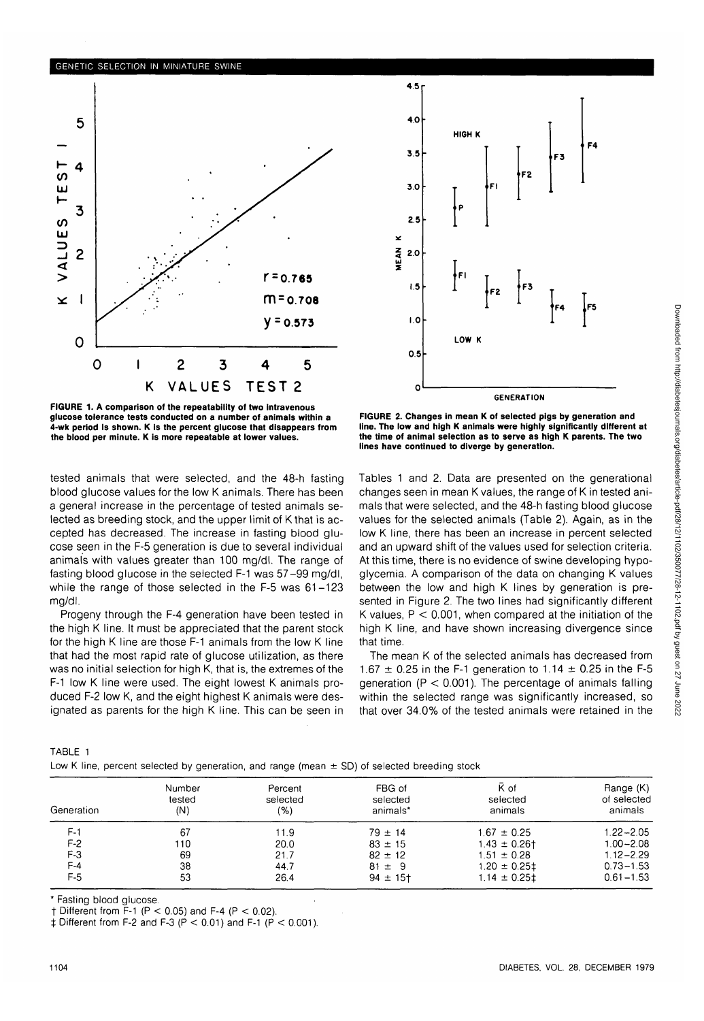## **GENETIC SELECTION IN MINIATURE SWINE**





**FIGURE 1. A comparison of the repeatability of two intravenous glucose tolerance tests conducted on a number of animals within a 4-wk period is shown. K is the percent glucose that disappears from the blood per minute. K is more repeatable at lower values.**

tested animals that were selected, and the 48-h fasting blood glucose values for the low K animals. There has been a general increase in the percentage of tested animals selected as breeding stock, and the upper limit of K that is accepted has decreased. The increase in fasting blood glucose seen in the F-5 generation is due to several individual animals with values greater than 100 mg/dl. The range of fasting blood glucose in the selected F-1 was 57-99 mg/dl, while the range of those selected in the F-5 was 61-123 mg/dl.

Progeny through the F-4 generation have been tested in the high K line. It must be appreciated that the parent stock for the high K line are those F-1 animals from the low K line that had the most rapid rate of glucose utilization, as there was no initial selection for high K, that is, the extremes of the F-1 low K line were used. The eight lowest K animals produced F-2 low K, and the eight highest K animals were designated as parents for the high K line. This can be seen in

**FIGURE 2. Changes in mean K of selected pigs by generation and line. The low and high K animals were highly significantly different at the time of animal selection as to serve as high K parents. The two lines have continued to diverge by generation.**

Tables 1 and 2. Data are presented on the generational changes seen in mean K values, the range of K in tested animals that were selected, and the 48-h fasting blood glucose values for the selected animals (Table 2). Again, as in the low K line, there has been an increase in percent selected and an upward shift of the values used for selection criteria. At this time, there is no evidence of swine developing hypoglycemia. A comparison of the data on changing K values between the low and high K lines by generation is presented in Figure 2. The two lines had significantly different K values,  $P < 0.001$ , when compared at the initiation of the high K line, and have shown increasing divergence since that time.

The mean K of the selected animals has decreased from 1.67  $\pm$  0.25 in the F-1 generation to 1.14  $\pm$  0.25 in the F-5 generation ( $P < 0.001$ ). The percentage of animals falling within the selected range was significantly increased, so that over 34.0% of the tested animals were retained in the

| TABLE 1 |  |                                                                                                  |  |  |  |  |
|---------|--|--------------------------------------------------------------------------------------------------|--|--|--|--|
|         |  | Low K line, percent selected by generation, and range (mean $\pm$ SD) of selected breeding stock |  |  |  |  |

| Generation | Number<br>tested<br>(N) | Percent<br>selected<br>(9) | FBG of<br>selected<br>animals* | K of<br>selected<br>animals | Range (K)<br>of selected<br>animals |
|------------|-------------------------|----------------------------|--------------------------------|-----------------------------|-------------------------------------|
| $F-1$      | 67                      | 11.9                       | $79 \pm 14$                    | $1.67 \pm 0.25$             | $1.22 - 2.05$                       |
| $F-2$      | 110                     | 20.0                       | $83 \pm 15$                    | $1.43 \pm 0.26$ †           | $1.00 - 2.08$                       |
| $F-3$      | 69                      | 21.7                       | $82 \pm 12$                    | $1.51 \pm 0.28$             | $1.12 - 2.29$                       |
| $F-4$      | 38                      | 44.7                       | $81 \pm 9$                     | $1.20 \pm 0.25$             | $0.73 - 1.53$                       |
| F-5        | 53                      | 26.4                       | $94 \pm 15$ †                  | $1.14 \pm 0.251$            | $0.61 - 1.53$                       |

\* Fasting blood glucose.

 $\dagger$  Different from F-1 (P < 0.05) and F-4 (P < 0.02).

 $\ddagger$  Different from F-2 and F-3 (P < 0.01) and F-1 (P < 0.001).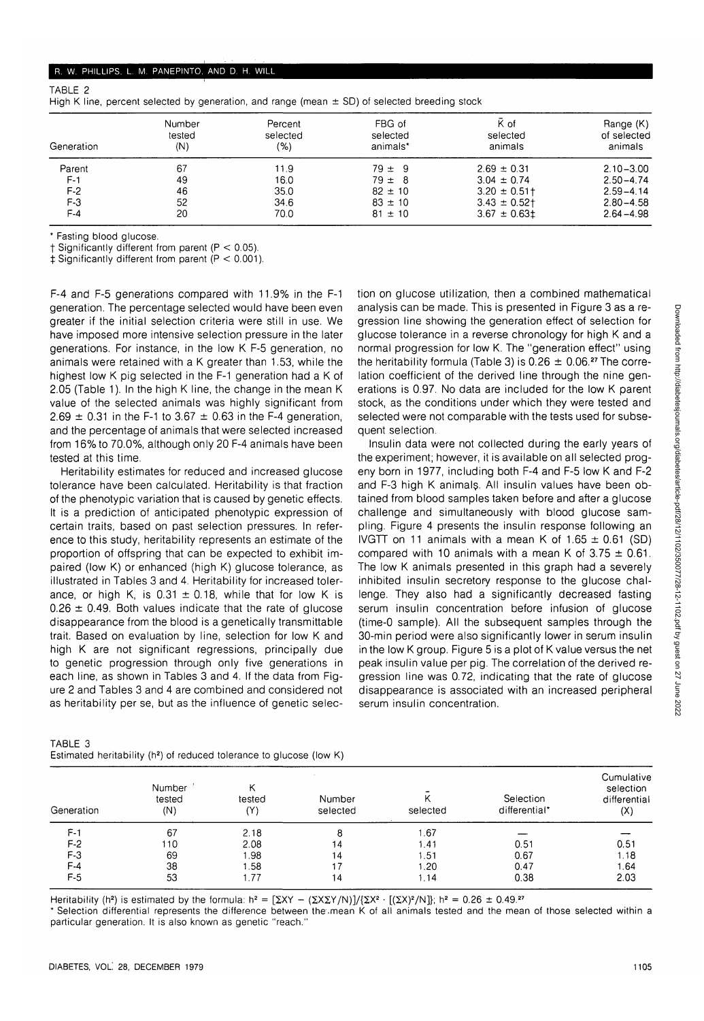#### R. W. PHILLIPS, L. M. PANEPINTO, AND D. H. WILL

| Generation | Number<br>tested<br>(N) | Percent<br>selected<br>(%) | FBG of<br>selected<br>animals* | K of<br>selected<br>animals | Range (K)<br>of selected<br>animals |
|------------|-------------------------|----------------------------|--------------------------------|-----------------------------|-------------------------------------|
| Parent     | 67                      | 11.9                       | $79 \pm 9$                     | $2.69 \pm 0.31$             | $2.10 - 3.00$                       |
| $F-1$      | 49                      | 16.0                       | $79 \pm 8$                     | $3.04 \pm 0.74$             | $2.50 - 4.74$                       |
| $F-2$      | 46                      | 35.0                       | $82 \pm 10$                    | $3.20 \pm 0.51$ †           | $2.59 - 4.14$                       |
| $F-3$      | 52                      | 34.6                       | $83 \pm 10$                    | $3.43 \pm 0.52$ †           | $2.80 - 4.58$                       |
| $F-4$      | 20                      | 70.0                       | $81 \pm 10$                    | $3.67 \pm 0.631$            | $2.64 - 4.98$                       |

High K line, percent selected by generation, and range (mean  $\pm$  SD) of selected breeding stock

\* Fasting blood glucose.

TABLE 2

 $\dagger$  Significantly different from parent (P < 0.05).

 $\pm$  Significantly different from parent (P < 0.001).

F-4 and F-5 generations compared with 11.9% in the F-1 generation. The percentage selected would have been even greater if the initial selection criteria were still in use. We have imposed more intensive selection pressure in the later generations. For instance, in the low K F-5 generation, no animals were retained with a K greater than 1.53, while the highest low K pig selected in the F-1 generation had a K of 2.05 (Table 1). In the high K line, the change in the mean K value of the selected animals was highly significant from 2.69  $\pm$  0.31 in the F-1 to 3.67  $\pm$  0.63 in the F-4 generation, and the percentage of animals that were selected increased from 16% to 70.0%, although only 20 F-4 animals have been tested at this time.

Heritability estimates for reduced and increased glucose tolerance have been calculated. Heritability is that fraction of the phenotypic variation that is caused by genetic effects. It is a prediction of anticipated phenotypic expression of certain traits, based on past selection pressures. In reference to this study, heritability represents an estimate of the proportion of offspring that can be expected to exhibit impaired (low K) or enhanced (high K) glucose tolerance, as illustrated in Tables 3 and 4. Heritability for increased tolerance, or high K, is  $0.31 \pm 0.18$ , while that for low K is  $0.26 \pm 0.49$ . Both values indicate that the rate of glucose disappearance from the blood is a genetically transmittable trait. Based on evaluation by line, selection for low K and high K are not significant regressions, principally due to genetic progression through only five generations in each line, as shown in Tables 3 and 4. If the data from Figure 2 and Tables 3 and 4 are combined and considered not as heritability per se, but as the influence of genetic selec-

| TABLE 3                                                                          |  |  |
|----------------------------------------------------------------------------------|--|--|
| Estimated heritability (h <sup>2</sup> ) of reduced tolerance to glucose (low K) |  |  |

tion on glucose utilization, then a combined mathematical analysis can be made. This is presented in Figure 3 as a regression line showing the generation effect of selection for glucose tolerance in a reverse chronology for high K and a normal progression for low K. The "generation effect" using the heritability formula (Table 3) is  $0.26 \pm 0.06$ .<sup>27</sup> The correlation coefficient of the derived line through the nine generations is 0.97. No data are included for the low K parent stock, as the conditions under which they were tested and selected were not comparable with the tests used for subsequent selection.

Insulin data were not collected during the early years of the experiment; however, it is available on all selected progeny born in 1977, including both F-4 and F-5 low K and F-2 and F-3 high K animals. All insulin values have been obtained from blood samples taken before and after a glucose challenge and simultaneously with blood glucose sampling. Figure 4 presents the insulin response following an IVGTT on 11 animals with a mean K of  $1.65 \pm 0.61$  (SD) compared with 10 animals with a mean K of  $3.75 \pm 0.61$ . The low K animals presented in this graph had a severely inhibited insulin secretory response to the glucose challenge. They also had a significantly decreased fasting serum insulin concentration before infusion of glucose (time-0 sample). All the subsequent samples through the 30-min period were also significantly lower in serum insulin in the low K group. Figure 5 is a plot of K value versus the net peak insulin value per pig. The correlation of the derived regression line was 0.72, indicating that the rate of glucose disappearance is associated with an increased peripheral serum insulin concentration.

| Generation | Number<br>tested<br>(N) | tested<br>$(\mathsf{Y})$ | Number<br>selected | selected | Selection<br>differential* | Cumulative<br>selection<br>differential<br>(X) |
|------------|-------------------------|--------------------------|--------------------|----------|----------------------------|------------------------------------------------|
| $F-1$      | 67                      | 2.18                     | 8                  | 1.67     |                            |                                                |
| $F-2$      | 110                     | 2.08                     | 14                 | 1.41     | 0.51                       | 0.51                                           |
| $F-3$      | 69                      | 1.98                     | 14                 | 1.51     | 0.67                       | 1.18                                           |
| $F-4$      | 38                      | 1.58                     |                    | 1.20     | 0.47                       | l.64                                           |
| F-5        | 53                      | 1.77                     | 14                 | 1.14     | 0.38                       | 2.03                                           |

Heritability (h<sup>2</sup>) is estimated by the formula:  $h^2 = [\Sigma XY - (\Sigma X \Sigma Y/N)]/( \Sigma X^2 \cdot [(\Sigma X)^2/N]$ ; h<sup>2</sup> = 0.26 ± 0.49.<sup>27</sup>

\* Selection differential represents the difference between the.mean K of all animals tested and the mean of those selected within a particular generation. It is also known as genetic "reach."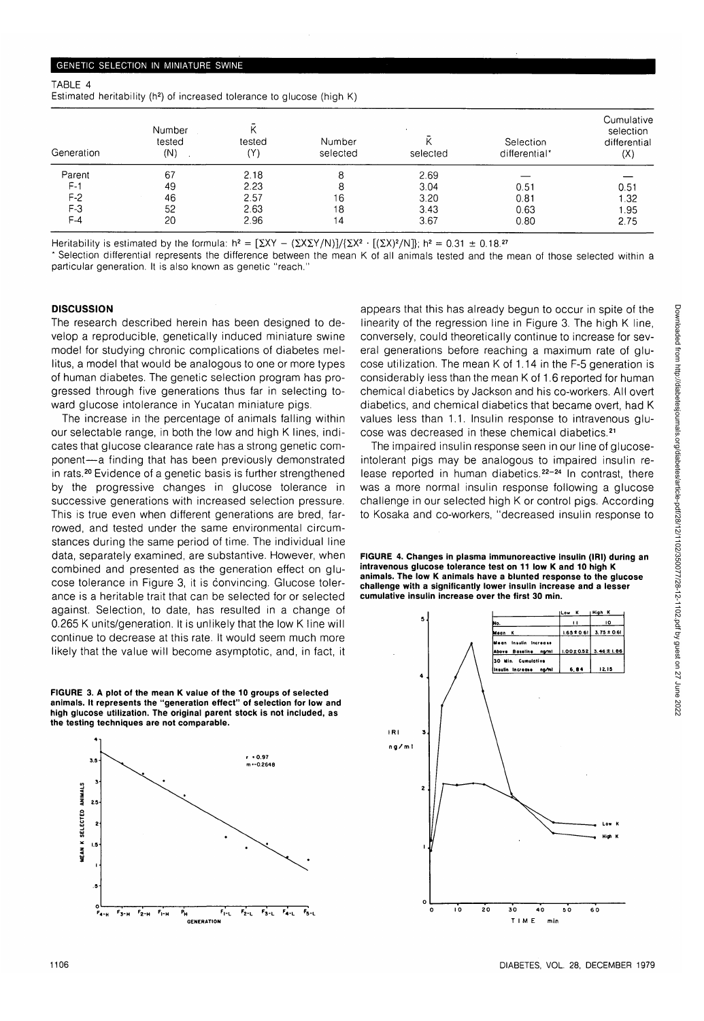| TABLE 4                                                                             |  |  |  |
|-------------------------------------------------------------------------------------|--|--|--|
| Estimated heritability (h <sup>2</sup> ) of increased tolerance to glucose (high K) |  |  |  |

| Generation | Number<br>tested<br>(N) | tested<br>(Y) | Number<br>selected | selected | Selection<br>differential* | Cumulative<br>selection<br>differential<br>(X) |
|------------|-------------------------|---------------|--------------------|----------|----------------------------|------------------------------------------------|
| Parent     | 67                      | 2.18          | 8                  | 2.69     |                            |                                                |
| $F-1$      | 49                      | 2.23          | 8                  | 3.04     | 0.51                       | 0.51                                           |
| $F-2$      | 46                      | 2.57          | 16                 | 3.20     | 0.81                       | l.32                                           |
| $F-3$      | 52                      | 2.63          | 18                 | 3.43     | 0.63                       | 1.95                                           |
| $F-4$      | 20                      | 2.96          | 14                 | 3.67     | 0.80                       | 2.75                                           |

Heritability is estimated by the formula:  $h^2 = [\Sigma XY - (\Sigma X \Sigma Y/N)] / {\Sigma X^2 \cdot [(\Sigma X)^2/N]}$ ;  $h^2 = 0.31 \pm 0.18$ .

\* Selection differential represents the difference between the mean K of all animals tested and the mean of those selected within a particular generation. It is also known as genetic "reach."

### **DISCUSSION**

The research described herein has been designed to develop a reproducible, genetically induced miniature swine model for studying chronic complications of diabetes mellitus, a model that would be analogous to one or more types of human diabetes. The genetic selection program has progressed through five generations thus far in selecting toward glucose intolerance in Yucatan miniature pigs.

The increase in the percentage of animals falling within our selectable range, in both the low and high K lines, indicates that glucose clearance rate has a strong genetic component—a finding that has been previously demonstrated in rats.<sup>20</sup> Evidence of a genetic basis is further strengthened by the progressive changes in glucose tolerance in successive generations with increased selection pressure. This is true even when different generations are bred, farrowed, and tested under the same environmental circumstances during the same period of time. The individual line data, separately examined, are substantive. However, when combined and presented as the generation effect on glucose tolerance in Figure 3, it is convincing. Glucose tolerance is a heritable trait that can be selected for or selected against. Selection, to date, has resulted in a change of 0.265 K units/generation. It is unlikely that the low K line will continue to decrease at this rate. It would seem much more likely that the value will become asymptotic, and, in fact, it

**FIGURE 3. A plot of the mean K value of the 10 groups of selected animals. It represents the "generation effect" of selection for low and high glucose utilization. The original parent stock is not included, as the testing techniques are not comparable.**



appears that this has already begun to occur in spite of the linearity of the regression line in Figure 3. The high K line, conversely, could theoretically continue to increase for several generations before reaching a maximum rate of glucose utilization. The mean K of 1.14 in the F-5 generation is considerably less than the mean K of 1.6 reported for human chemical diabetics by Jackson and his co-workers. All overt diabetics, and chemical diabetics that became overt, had K values less than 1.1. Insulin response to intravenous glucose was decreased in these chemical diabetics.<sup>21</sup>

The impaired insulin response seen in our line of glucoseintolerant pigs may be analogous to impaired insulin release reported in human diabetics.<sup>22-24</sup> In contrast, there was a more normal insulin response following a glucose challenge in our selected high K or control pigs. According to Kosaka and co-workers, "decreased insulin response to

**FIGURE 4. Changes in plasma immunoreactive insulin (IRI) during an intravenous glucose tolerance test on 11 low K and 10 high K animals. The low K animals have a blunted response to the glucose challenge with a significantly lower insulin increase and a lesser cumulative insulin increase over the first 30 min.**